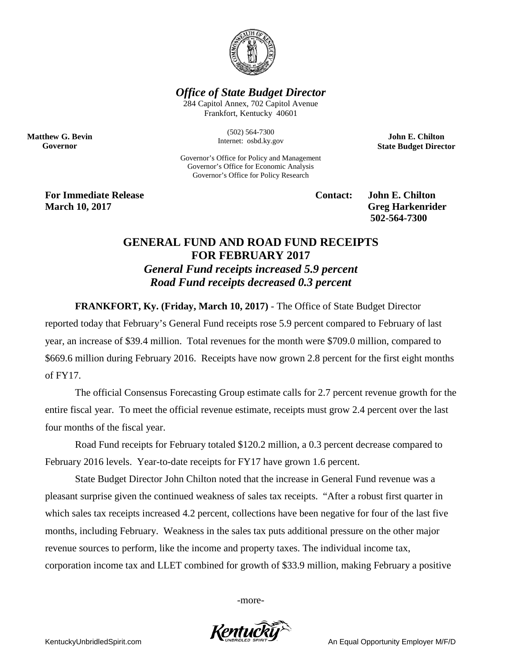

*Office of State Budget Director*

284 Capitol Annex, 702 Capitol Avenue Frankfort, Kentucky 40601

> (502) 564-7300 Internet: osbd.ky.gov

Governor's Office for Policy and Management Governor's Office for Economic Analysis Governor's Office for Policy Research

**John E. Chilton State Budget Director**

**For Immediate Release Contact: John E. Chilton March** 10, 2017 **Greg Harkenrider** 

**Matthew G. Bevin Governor**

**502-564-7300** 

## **GENERAL FUND AND ROAD FUND RECEIPTS FOR FEBRUARY 2017** *General Fund receipts increased 5.9 percent Road Fund receipts decreased 0.3 percent*

**FRANKFORT, Ky. (Friday, March 10, 2017)** - The Office of State Budget Director

reported today that February's General Fund receipts rose 5.9 percent compared to February of last year, an increase of \$39.4 million. Total revenues for the month were \$709.0 million, compared to \$669.6 million during February 2016. Receipts have now grown 2.8 percent for the first eight months of FY17.

The official Consensus Forecasting Group estimate calls for 2.7 percent revenue growth for the entire fiscal year. To meet the official revenue estimate, receipts must grow 2.4 percent over the last four months of the fiscal year.

Road Fund receipts for February totaled \$120.2 million, a 0.3 percent decrease compared to February 2016 levels. Year-to-date receipts for FY17 have grown 1.6 percent.

State Budget Director John Chilton noted that the increase in General Fund revenue was a pleasant surprise given the continued weakness of sales tax receipts. "After a robust first quarter in which sales tax receipts increased 4.2 percent, collections have been negative for four of the last five months, including February. Weakness in the sales tax puts additional pressure on the other major revenue sources to perform, like the income and property taxes. The individual income tax, corporation income tax and LLET combined for growth of \$33.9 million, making February a positive

-more-



KentuckyUnbridledSpirit.com An Equal Opportunity Employer M/F/D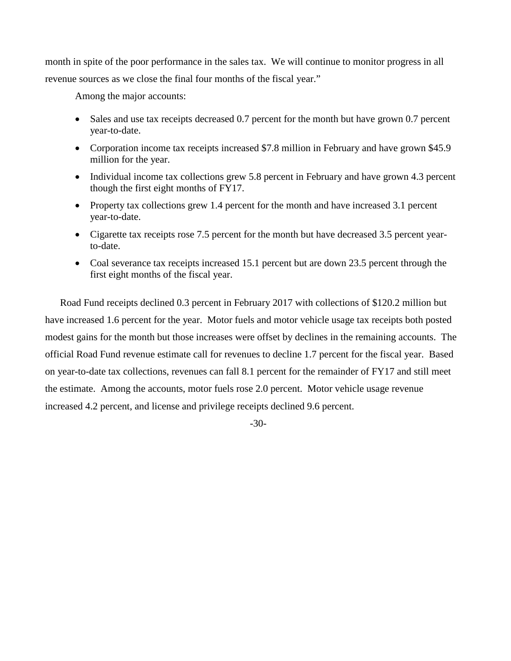month in spite of the poor performance in the sales tax. We will continue to monitor progress in all revenue sources as we close the final four months of the fiscal year."

Among the major accounts:

- Sales and use tax receipts decreased 0.7 percent for the month but have grown 0.7 percent year-to-date.
- Corporation income tax receipts increased \$7.8 million in February and have grown \$45.9 million for the year.
- Individual income tax collections grew 5.8 percent in February and have grown 4.3 percent though the first eight months of FY17.
- Property tax collections grew 1.4 percent for the month and have increased 3.1 percent year-to-date.
- Cigarette tax receipts rose 7.5 percent for the month but have decreased 3.5 percent yearto-date.
- Coal severance tax receipts increased 15.1 percent but are down 23.5 percent through the first eight months of the fiscal year.

Road Fund receipts declined 0.3 percent in February 2017 with collections of \$120.2 million but have increased 1.6 percent for the year. Motor fuels and motor vehicle usage tax receipts both posted modest gains for the month but those increases were offset by declines in the remaining accounts. The official Road Fund revenue estimate call for revenues to decline 1.7 percent for the fiscal year. Based on year-to-date tax collections, revenues can fall 8.1 percent for the remainder of FY17 and still meet the estimate. Among the accounts, motor fuels rose 2.0 percent. Motor vehicle usage revenue increased 4.2 percent, and license and privilege receipts declined 9.6 percent.

-30-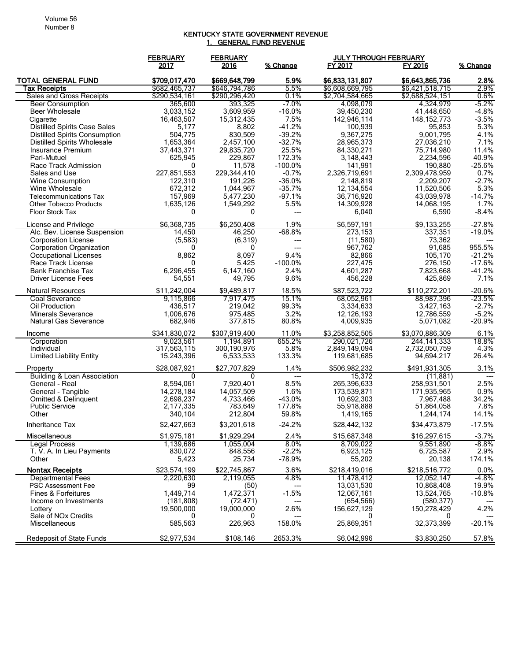## KENTUCKY STATE GOVERNMENT REVENUE 1. GENERAL FUND REVENUE

|                                                                             | <b>FEBRUARY</b>           | <b>FEBRUARY</b>           |                        | <b>JULY THROUGH FEBRUARY</b> |                             |                 |
|-----------------------------------------------------------------------------|---------------------------|---------------------------|------------------------|------------------------------|-----------------------------|-----------------|
|                                                                             | 2017                      | 2016                      | % Change               | FY 2017                      | FY 2016                     | % Change        |
| <b>TOTAL GENERAL FUND</b>                                                   | \$709,017,470             | \$669,648,799             | 5.9%                   | \$6,833,131,807              | \$6,643,865,736             | 2.8%            |
| Tax Receipts                                                                | \$682,465,737             | \$646,794,786             | 5.5%                   | \$6,608,669,795              | \$6,421,518,715             | 2.9%            |
| Sales and Gross Receipts                                                    | \$290,534,161             | \$290,296,420             | 0.1%                   | \$2,704,584,665              | \$2,688,524,151             | $0.6\%$         |
| <b>Beer Consumption</b>                                                     | 365,600                   | 393,325                   | $-7.0%$                | 4,098,079                    | 4,324,979                   | $-5.2%$         |
| Beer Wholesale                                                              | 3,033,152                 | 3,609,959                 | $-16.0%$               | 39,450,230                   | 41,448,650                  | $-4.8%$         |
| Cigarette                                                                   | 16,463,507                | 15,312,435                | 7.5%<br>$-41.2%$       | 142,946,114                  | 148, 152, 773               | $-3.5%$         |
| <b>Distilled Spirits Case Sales</b><br><b>Distilled Spirits Consumption</b> | 5,177<br>504,775          | 8,802<br>830,509          | $-39.2%$               | 100,939<br>9,367,275         | 95,853<br>9,001,795         | 5.3%<br>4.1%    |
| <b>Distilled Spirits Wholesale</b>                                          | 1,653,364                 | 2,457,100                 | $-32.7%$               | 28,965,373                   | 27,036,210                  | 7.1%            |
| Insurance Premium                                                           | 37,443,371                | 29,835,720                | 25.5%                  | 84,330,271                   | 75,714,980                  | 11.4%           |
| Pari-Mutuel                                                                 | 625,945                   | 229,867                   | 172.3%                 | 3,148,443                    | 2,234,596                   | 40.9%           |
| Race Track Admission                                                        | 0                         | 11,578                    | $-100.0%$              | 141,991                      | 190,880                     | $-25.6%$        |
| Sales and Use                                                               | 227,851,553               | 229,344,410               | $-0.7%$                | 2,326,719,691                | 2,309,478,959               | 0.7%            |
| <b>Wine Consumption</b>                                                     | 122,310                   | 191,226                   | $-36.0%$               | 2,148,819                    | 2,209,207                   | $-2.7%$         |
| Wine Wholesale                                                              | 672,312                   | 1,044,967                 | $-35.7%$               | 12,134,554                   | 11,520,506                  | 5.3%            |
| <b>Telecommunications Tax</b>                                               | 157,969                   | 5,477,230                 | $-97.1%$               | 36,716,920                   | 43,039,978                  | $-14.7%$        |
| <b>Other Tobacco Products</b>                                               | 1,635,126                 | 1,549,292                 | 5.5%                   | 14,309,928                   | 14,068,195                  | 1.7%            |
| <b>Floor Stock Tax</b>                                                      | 0                         | 0                         | ---                    | 6,040                        | 6,590                       | $-8.4%$         |
| License and Privilege                                                       | \$6,368,735               | \$6,250,408               | 1.9%                   | \$6,597,191                  | \$9,133,255                 | $-27.8%$        |
| Alc. Bev. License Suspension                                                | 14.450                    | 46,250                    | $-68.8%$               | 273,153                      | 337,351                     | $-19.0%$        |
| <b>Corporation License</b><br><b>Corporation Organization</b>               | (5,583)<br>0              | (6, 319)<br>0             | ---                    | (11,580)<br>967,762          | 73,362<br>91,685            | 955.5%          |
| <b>Occupational Licenses</b>                                                | 8,862                     | 8.097                     | ---<br>9.4%            | 82,866                       | 105,170                     | $-21.2%$        |
| Race Track License                                                          | 0                         | 5,425                     | $-100.0%$              | 227,475                      | 276,150                     | $-17.6%$        |
| <b>Bank Franchise Tax</b>                                                   | 6,296,455                 | 6,147,160                 | 2.4%                   | 4,601,287                    | 7.823.668                   | $-41.2%$        |
| <b>Driver License Fees</b>                                                  | 54,551                    | 49,795                    | 9.6%                   | 456,228                      | 425,869                     | 7.1%            |
| <b>Natural Resources</b>                                                    | \$11.242.004              | \$9,489,817               | 18.5%                  | \$87,523,722                 | \$110,272,201               | $-20.6%$        |
| Coal Severance                                                              | 9,115,866                 | 7,917,475                 | 15.1%                  | 68,052,961                   | 88,987,396                  | $-23.5%$        |
| Oil Production                                                              | 436,517                   | 219,042                   | 99.3%                  | 3,334,633                    | 3,427,163                   | $-2.7%$         |
| <b>Minerals Severance</b>                                                   | 1,006,676                 | 975,485                   | 3.2%                   | 12,126,193                   | 12,786,559                  | $-5.2%$         |
| <b>Natural Gas Severance</b>                                                | 682,946                   | 377,815                   | 80.8%                  | 4,009,935                    | 5,071,082                   | $-20.9%$        |
| Income                                                                      | \$341,830,072             | \$307,919,400             | 11.0%                  | \$3,258,852,505              | \$3,070,886,309             | 6.1%            |
| Corporation                                                                 | 9,023,561                 | 1.194.891                 | 655.2%                 | 290,021,726                  | 244, 141, 333               | 18.8%           |
| Individual                                                                  | 317,563,115               | 300, 190, 976             | 5.8%<br>133.3%         | 2,849,149,094                | 2,732,050,759               | 4.3%<br>26.4%   |
| <b>Limited Liability Entity</b>                                             | 15,243,396                | 6,533,533                 |                        | 119,681,685                  | 94,694,217                  |                 |
| Property<br><b>Building &amp; Loan Association</b>                          | \$28,087,921<br>0         | \$27,707,829<br>0         | 1.4%<br>$\overline{a}$ | \$506,982,232<br>15,372      | \$491,931,305<br>(11, 881)  | 3.1%<br>$---$   |
| General - Real                                                              | 8,594,061                 | 7,920,401                 | 8.5%                   | 265,396,633                  | 258,931,501                 | 2.5%            |
| General - Tangible                                                          | 14,278,184                | 14,057,509                | 1.6%                   | 173,539,871                  | 171,935,965                 | 0.9%            |
| Omitted & Delinquent                                                        | 2,698,237                 | 4,733,466                 | $-43.0%$               | 10,692,303                   | 7,967,488                   | 34.2%           |
| <b>Public Service</b>                                                       | 2,177,335                 | 783,649                   | 177.8%                 | 55,918,888                   | 51,864,058                  | 7.8%            |
| Other                                                                       | 340,104                   | 212,804                   | 59.8%                  | 1,419,165                    | 1,244,174                   | 14.1%           |
| Inheritance Tax                                                             | \$2,427,663               | \$3,201,618               | $-24.2%$               | \$28,442,132                 | \$34,473,879                | $-17.5%$        |
| Miscellaneous                                                               | \$1,975,181               | \$1,929,294               | 2.4%                   | \$15,687,348                 | \$16,297,615                | $-3.7%$         |
| <b>Legal Process</b>                                                        | 1,139,686                 | 1,055,004                 | 8.0%                   | 8,709,022                    | 9,551,890                   | $-8.8\%$        |
| T. V. A. In Lieu Payments                                                   | 830,072                   | 848,556                   | $-2.2%$                | 6,923,125                    | 6,725,587                   | 2.9%            |
| Other                                                                       | 5,423                     | 25,734                    | -78.9%                 | 55,202                       | 20,138                      | 174.1%          |
| <b>Nontax Receipts</b><br><b>Departmental Fees</b>                          | \$23,574,199<br>2,220,630 | \$22,745,867<br>2,119,055 | 3.6%<br>4.8%           | \$218,419,016<br>11,478,412  | \$218,516,772<br>12,052,147 | 0.0%<br>$-4.8%$ |
| PSC Assessment Fee                                                          | 99                        | (50)                      | ---                    | 13,031,530                   | 10,868,408                  | 19.9%           |
| Fines & Forfeitures                                                         | 1,449,714                 | 1,472,371                 | $-1.5%$                | 12.067.161                   | 13,524,765                  | $-10.8%$        |
| Income on Investments                                                       | (181, 808)                | (72, 471)                 | ---                    | (654, 566)                   | (580, 377)                  | ---             |
| Lottery                                                                     | 19,500,000                | 19,000,000                | 2.6%                   | 156,627,129                  | 150,278,429                 | 4.2%            |
| Sale of NO <sub>x</sub> Credits                                             | 0                         | 0                         |                        | 0                            | 0                           |                 |
| Miscellaneous                                                               | 585,563                   | 226,963                   | 158.0%                 | 25,869,351                   | 32,373,399                  | $-20.1%$        |
| Redeposit of State Funds                                                    | \$2,977,534               | \$108,146                 | 2653.3%                | \$6,042,996                  | \$3,830,250                 | 57.8%           |